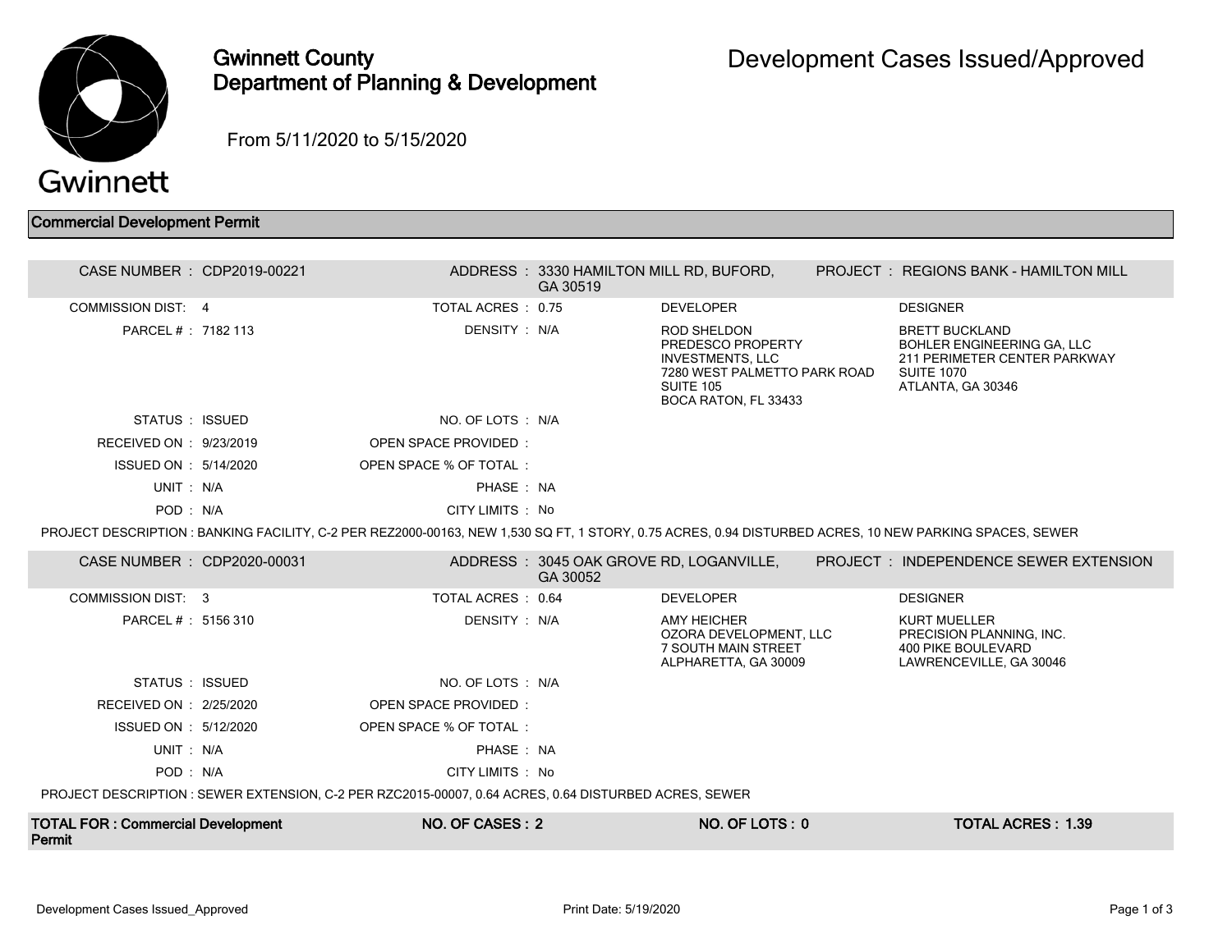

## Gwinnett County Department of Planning & Development

From 5/11/2020 to 5/15/2020

## Commercial Development Permit

| CASE NUMBER : CDP2019-00221 |                                                                                                       | GA 30519 | ADDRESS: 3330 HAMILTON MILL RD, BUFORD,                                                                                                        | <b>PROJECT: REGIONS BANK - HAMILTON MILL</b>                                                                                                           |
|-----------------------------|-------------------------------------------------------------------------------------------------------|----------|------------------------------------------------------------------------------------------------------------------------------------------------|--------------------------------------------------------------------------------------------------------------------------------------------------------|
| <b>COMMISSION DIST: 4</b>   | TOTAL ACRES: 0.75                                                                                     |          | <b>DEVELOPER</b>                                                                                                                               | <b>DESIGNER</b>                                                                                                                                        |
| PARCEL # : 7182 113         | DENSITY : N/A                                                                                         |          | <b>ROD SHELDON</b><br>PREDESCO PROPERTY<br><b>INVESTMENTS, LLC</b><br>7280 WEST PALMETTO PARK ROAD<br><b>SUITE 105</b><br>BOCA RATON, FL 33433 | <b>BRETT BUCKLAND</b><br>BOHLER ENGINEERING GA, LLC<br>211 PERIMETER CENTER PARKWAY<br><b>SUITE 1070</b><br>ATLANTA, GA 30346                          |
| STATUS : ISSUED             | NO. OF LOTS : N/A                                                                                     |          |                                                                                                                                                |                                                                                                                                                        |
| RECEIVED ON : 9/23/2019     | <b>OPEN SPACE PROVIDED:</b>                                                                           |          |                                                                                                                                                |                                                                                                                                                        |
| ISSUED ON : 5/14/2020       | OPEN SPACE % OF TOTAL:                                                                                |          |                                                                                                                                                |                                                                                                                                                        |
| UNIT: N/A                   | PHASE: NA                                                                                             |          |                                                                                                                                                |                                                                                                                                                        |
| POD: N/A                    | CITY LIMITS : No                                                                                      |          |                                                                                                                                                |                                                                                                                                                        |
|                             |                                                                                                       |          |                                                                                                                                                | PROJECT DESCRIPTION: BANKING FACILITY, C-2 PER REZ2000-00163, NEW 1,530 SQ FT, 1 STORY, 0.75 ACRES, 0.94 DISTURBED ACRES, 10 NEW PARKING SPACES, SEWER |
| CASE NUMBER : CDP2020-00031 |                                                                                                       | GA 30052 | ADDRESS: 3045 OAK GROVE RD, LOGANVILLE,                                                                                                        | <b>PROJECT : INDEPENDENCE SEWER EXTENSION</b>                                                                                                          |
| COMMISSION DIST: 3          | TOTAL ACRES: 0.64                                                                                     |          | <b>DEVELOPER</b>                                                                                                                               | <b>DESIGNER</b>                                                                                                                                        |
| PARCEL #: 5156 310          | DENSITY : N/A                                                                                         |          | <b>AMY HEICHER</b><br>OZORA DEVELOPMENT. LLC<br>7 SOUTH MAIN STREET<br>ALPHARETTA, GA 30009                                                    | <b>KURT MUELLER</b><br>PRECISION PLANNING. INC.<br>400 PIKE BOULEVARD<br>LAWRENCEVILLE, GA 30046                                                       |
|                             |                                                                                                       |          |                                                                                                                                                |                                                                                                                                                        |
| STATUS : ISSUED             | NO. OF LOTS : N/A                                                                                     |          |                                                                                                                                                |                                                                                                                                                        |
| RECEIVED ON : 2/25/2020     | <b>OPEN SPACE PROVIDED:</b>                                                                           |          |                                                                                                                                                |                                                                                                                                                        |
| ISSUED ON : 5/12/2020       | OPEN SPACE % OF TOTAL:                                                                                |          |                                                                                                                                                |                                                                                                                                                        |
| UNIT: N/A                   | PHASE: NA                                                                                             |          |                                                                                                                                                |                                                                                                                                                        |
| POD: N/A                    | CITY LIMITS : No                                                                                      |          |                                                                                                                                                |                                                                                                                                                        |
|                             | PROJECT DESCRIPTION : SEWER EXTENSION, C-2 PER RZC2015-00007, 0.64 ACRES, 0.64 DISTURBED ACRES, SEWER |          |                                                                                                                                                |                                                                                                                                                        |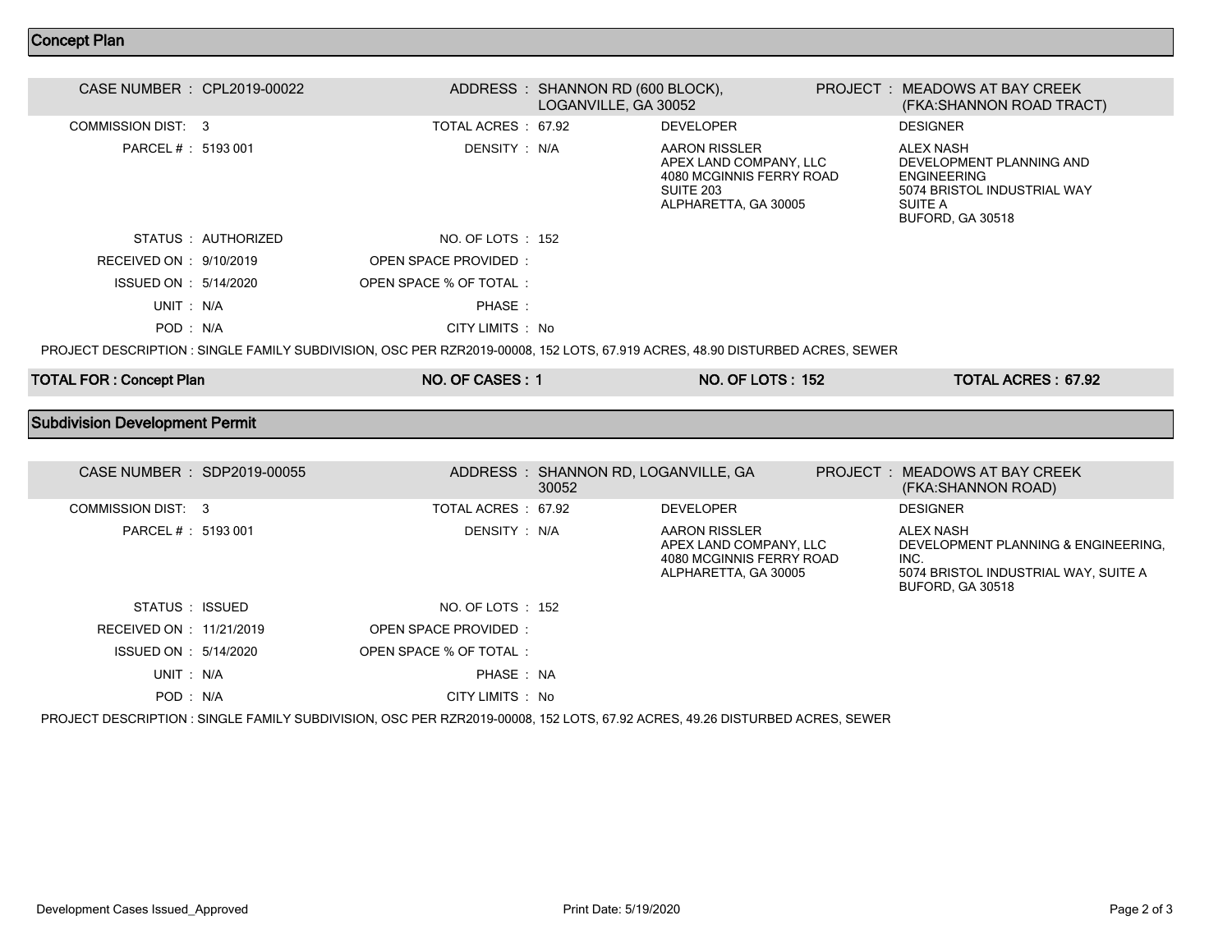## Concept Plan

| CASE NUMBER : CPL2019-00022           |                     |                                                                                                                              | ADDRESS: SHANNON RD (600 BLOCK),<br>LOGANVILLE, GA 30052 |                                                                                                                        | PROJECT: MEADOWS AT BAY CREEK<br>(FKA:SHANNON ROAD TRACT)                                                                               |
|---------------------------------------|---------------------|------------------------------------------------------------------------------------------------------------------------------|----------------------------------------------------------|------------------------------------------------------------------------------------------------------------------------|-----------------------------------------------------------------------------------------------------------------------------------------|
| <b>COMMISSION DIST: 3</b>             |                     | TOTAL ACRES: 67.92                                                                                                           |                                                          | <b>DEVELOPER</b>                                                                                                       | <b>DESIGNER</b>                                                                                                                         |
| PARCEL # : 5193 001                   |                     | DENSITY : N/A                                                                                                                |                                                          | <b>AARON RISSLER</b><br>APEX LAND COMPANY, LLC<br>4080 MCGINNIS FERRY ROAD<br><b>SUITE 203</b><br>ALPHARETTA, GA 30005 | <b>ALEX NASH</b><br>DEVELOPMENT PLANNING AND<br><b>ENGINEERING</b><br>5074 BRISTOL INDUSTRIAL WAY<br><b>SUITE A</b><br>BUFORD, GA 30518 |
|                                       | STATUS : AUTHORIZED | NO. OF LOTS : 152                                                                                                            |                                                          |                                                                                                                        |                                                                                                                                         |
| RECEIVED ON : 9/10/2019               |                     | <b>OPEN SPACE PROVIDED:</b>                                                                                                  |                                                          |                                                                                                                        |                                                                                                                                         |
| ISSUED ON : 5/14/2020                 |                     | OPEN SPACE % OF TOTAL:                                                                                                       |                                                          |                                                                                                                        |                                                                                                                                         |
| UNIT: N/A                             |                     | PHASE:                                                                                                                       |                                                          |                                                                                                                        |                                                                                                                                         |
| POD: N/A                              |                     | CITY LIMITS : No                                                                                                             |                                                          |                                                                                                                        |                                                                                                                                         |
|                                       |                     | PROJECT DESCRIPTION : SINGLE FAMILY SUBDIVISION, OSC PER RZR2019-00008, 152 LOTS, 67.919 ACRES, 48.90 DISTURBED ACRES, SEWER |                                                          |                                                                                                                        |                                                                                                                                         |
| <b>TOTAL FOR: Concept Plan</b>        |                     | NO. OF CASES: 1                                                                                                              |                                                          | <b>NO. OF LOTS: 152</b>                                                                                                | <b>TOTAL ACRES: 67.92</b>                                                                                                               |
| <b>Subdivision Development Permit</b> |                     |                                                                                                                              |                                                          |                                                                                                                        |                                                                                                                                         |
|                                       |                     |                                                                                                                              |                                                          |                                                                                                                        |                                                                                                                                         |
| CASE NUMBER : SDP2019-00055           |                     |                                                                                                                              | ADDRESS: SHANNON RD, LOGANVILLE, GA<br>30052             |                                                                                                                        | <b>PROJECT : MEADOWS AT BAY CREEK</b><br>(FKA:SHANNON ROAD)                                                                             |
| <b>COMMISSION DIST: 3</b>             |                     | TOTAL ACRES: 67.92                                                                                                           |                                                          | <b>DEVELOPER</b>                                                                                                       | <b>DESIGNER</b>                                                                                                                         |
| PARCEL # : 5193 001                   |                     | DENSITY : N/A                                                                                                                |                                                          | <b>AARON RISSLER</b><br>APEX LAND COMPANY, LLC<br>4080 MCGINNIS FERRY ROAD<br>ALPHARETTA, GA 30005                     | <b>ALEX NASH</b><br>DEVELOPMENT PLANNING & ENGINEERING.<br>INC.<br>5074 BRISTOL INDUSTRIAL WAY, SUITE A                                 |

| STATUS : ISSUED          | NO. OF LOTS : 152                                                                                                     |  |  |
|--------------------------|-----------------------------------------------------------------------------------------------------------------------|--|--|
| RECEIVED ON : 11/21/2019 | OPEN SPACE PROVIDED:                                                                                                  |  |  |
| ISSUED ON : 5/14/2020    | OPEN SPACE % OF TOTAL                                                                                                 |  |  |
| $IINT \cdot N/A$         | PHASE NA                                                                                                              |  |  |
| POD: N/A                 | CITY LIMITS : No                                                                                                      |  |  |
|                          | IO IEAT DEAADIDTIAN . AINALE EANILY ALIDDIVIAIAN . AAA DED DZDAA10.00000. 159 LATA. AZ 09 AADEA. JA 90 DIATLIDDED AAD |  |  |

PROJECT DESCRIPTION : SINGLE FAMILY SUBDIVISION, OSC PER RZR2019-00008, 152 LOTS, 67.92 ACRES, 49.26 DISTURBED ACRES, SEWER

BUFORD, GA 30518